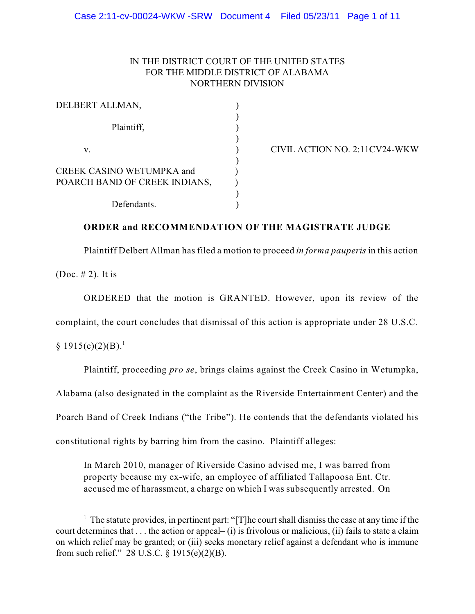## IN THE DISTRICT COURT OF THE UNITED STATES FOR THE MIDDLE DISTRICT OF ALABAMA NORTHERN DIVISION

| DELBERT ALLMAN,                  |  |
|----------------------------------|--|
| Plaintiff,                       |  |
| v.                               |  |
| <b>CREEK CASINO WETUMPKA and</b> |  |
| POARCH BAND OF CREEK INDIANS,    |  |
| Defendants.                      |  |

CIVIL ACTION NO. 2:11CV24-WKW

### **ORDER and RECOMMENDATION OF THE MAGISTRATE JUDGE**

Plaintiff Delbert Allman has filed a motion to proceed *in forma pauperis* in this action

(Doc. # 2). It is

ORDERED that the motion is GRANTED. However, upon its review of the complaint, the court concludes that dismissal of this action is appropriate under 28 U.S.C.

 $§ 1915(e)(2)(B).<sup>1</sup>$ 

Plaintiff, proceeding *pro se*, brings claims against the Creek Casino in Wetumpka,

Alabama (also designated in the complaint as the Riverside Entertainment Center) and the

Poarch Band of Creek Indians ("the Tribe"). He contends that the defendants violated his

constitutional rights by barring him from the casino. Plaintiff alleges:

In March 2010, manager of Riverside Casino advised me, I was barred from property because my ex-wife, an employee of affiliated Tallapoosa Ent. Ctr. accused me of harassment, a charge on which I was subsequently arrested. On

<sup>&</sup>lt;sup>1</sup> The statute provides, in pertinent part: "[T]he court shall dismiss the case at any time if the court determines that . . . the action or appeal– (i) is frivolous or malicious, (ii) fails to state a claim on which relief may be granted; or (iii) seeks monetary relief against a defendant who is immune from such relief." 28 U.S.C. § 1915(e)(2)(B).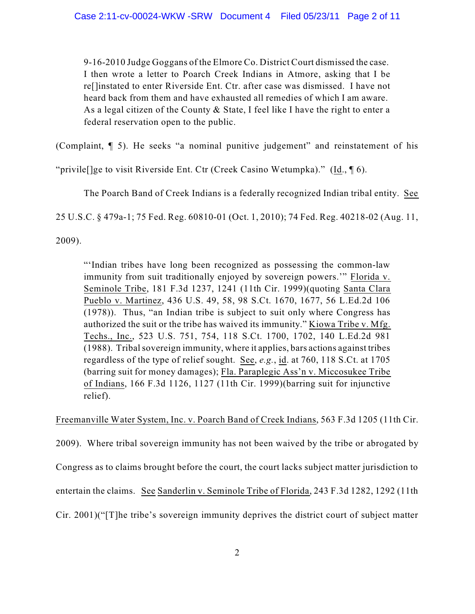9-16-2010 Judge Goggans of the Elmore Co. District Court dismissed the case. I then wrote a letter to Poarch Creek Indians in Atmore, asking that I be re[]instated to enter Riverside Ent. Ctr. after case was dismissed. I have not heard back from them and have exhausted all remedies of which I am aware. As a legal citizen of the County & State, I feel like I have the right to enter a federal reservation open to the public.

(Complaint, ¶ 5). He seeks "a nominal punitive judgement" and reinstatement of his

"privile[]ge to visit Riverside Ent. Ctr (Creek Casino Wetumpka)." (Id., ¶ 6).

The Poarch Band of Creek Indians is a federally recognized Indian tribal entity. See

25 U.S.C. § 479a-1; 75 Fed. Reg. 60810-01 (Oct. 1, 2010); 74 Fed. Reg. 40218-02 (Aug. 11,

2009).

"'Indian tribes have long been recognized as possessing the common-law immunity from suit traditionally enjoyed by sovereign powers.'" Florida v. Seminole Tribe, 181 F.3d 1237, 1241 (11th Cir. 1999)(quoting Santa Clara Pueblo v. Martinez, 436 U.S. 49, 58, 98 S.Ct. 1670, 1677, 56 L.Ed.2d 106 (1978)). Thus, "an Indian tribe is subject to suit only where Congress has authorized the suit or the tribe has waived its immunity." Kiowa Tribe v. Mfg. Techs., Inc., 523 U.S. 751, 754, 118 S.Ct. 1700, 1702, 140 L.Ed.2d 981 (1988). Tribalsovereign immunity, where it applies, bars actions against tribes regardless of the type of relief sought. See, *e.g.*, id. at 760, 118 S.Ct. at 1705 (barring suit for money damages); Fla. Paraplegic Ass'n v. Miccosukee Tribe of Indians, 166 F.3d 1126, 1127 (11th Cir. 1999)(barring suit for injunctive relief).

Freemanville Water System, Inc. v. Poarch Band of Creek Indians, 563 F.3d 1205 (11th Cir.

2009). Where tribal sovereign immunity has not been waived by the tribe or abrogated by Congress as to claims brought before the court, the court lacks subject matter jurisdiction to entertain the claims. See Sanderlin v. Seminole Tribe of Florida, 243 F.3d 1282, 1292 (11th Cir. 2001)("[T]he tribe's sovereign immunity deprives the district court of subject matter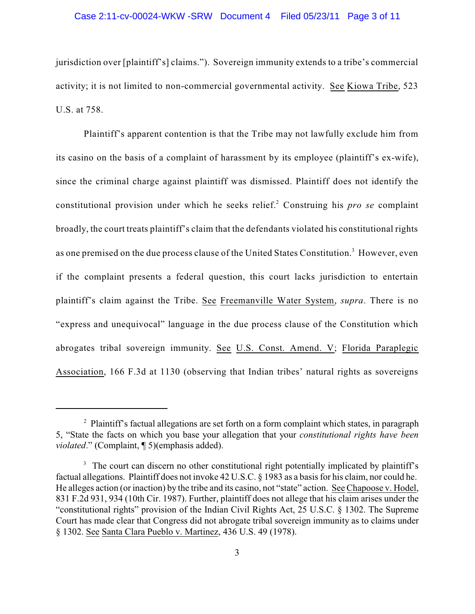jurisdiction over [plaintiff's] claims."). Sovereign immunity extends to a tribe's commercial activity; it is not limited to non-commercial governmental activity. See Kiowa Tribe, 523 U.S. at 758.

Plaintiff's apparent contention is that the Tribe may not lawfully exclude him from its casino on the basis of a complaint of harassment by its employee (plaintiff's ex-wife), since the criminal charge against plaintiff was dismissed. Plaintiff does not identify the constitutional provision under which he seeks relief.<sup>2</sup> Construing his *pro se* complaint broadly, the court treats plaintiff's claim that the defendants violated his constitutional rights as one premised on the due process clause of the United States Constitution.<sup>3</sup> However, even if the complaint presents a federal question, this court lacks jurisdiction to entertain plaintiff's claim against the Tribe. See Freemanville Water System, *supra*. There is no "express and unequivocal" language in the due process clause of the Constitution which abrogates tribal sovereign immunity. See U.S. Const. Amend. V; Florida Paraplegic Association, 166 F.3d at 1130 (observing that Indian tribes' natural rights as sovereigns

 $\degree$  Plaintiff's factual allegations are set forth on a form complaint which states, in paragraph 5, "State the facts on which you base your allegation that your *constitutional rights have been violated*." (Complaint, ¶ 5)(emphasis added).

 $3\text{ }$ . The court can discern no other constitutional right potentially implicated by plaintiff's factual allegations. Plaintiff does not invoke 42 U.S.C. § 1983 as a basis for his claim, nor could he. He alleges action (or inaction) by the tribe and its casino, not "state" action. See Chapoose v. Hodel, 831 F.2d 931, 934 (10th Cir. 1987). Further, plaintiff does not allege that his claim arises under the "constitutional rights" provision of the Indian Civil Rights Act, 25 U.S.C. § 1302. The Supreme Court has made clear that Congress did not abrogate tribal sovereign immunity as to claims under § 1302. See Santa Clara Pueblo v. Martinez, 436 U.S. 49 (1978).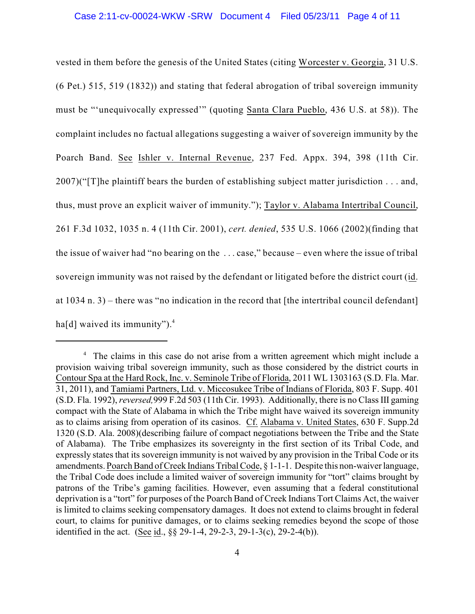### Case 2:11-cv-00024-WKW -SRW Document 4 Filed 05/23/11 Page 4 of 11

vested in them before the genesis of the United States (citing Worcester v. Georgia, 31 U.S. (6 Pet.) 515, 519 (1832)) and stating that federal abrogation of tribal sovereign immunity must be "'unequivocally expressed'" (quoting Santa Clara Pueblo, 436 U.S. at 58)). The complaint includes no factual allegations suggesting a waiver of sovereign immunity by the Poarch Band. See Ishler v. Internal Revenue, 237 Fed. Appx. 394, 398 (11th Cir. 2007)("[T]he plaintiff bears the burden of establishing subject matter jurisdiction . . . and, thus, must prove an explicit waiver of immunity."); Taylor v. Alabama Intertribal Council, 261 F.3d 1032, 1035 n. 4 (11th Cir. 2001), *cert. denied*, 535 U.S. 1066 (2002)(finding that the issue of waiver had "no bearing on the . . . case," because – even where the issue of tribal sovereign immunity was not raised by the defendant or litigated before the district court (id. at 1034 n. 3) – there was "no indication in the record that [the intertribal council defendant] ha[d] waived its immunity").<sup>4</sup>

<sup>&</sup>lt;sup>4</sup> The claims in this case do not arise from a written agreement which might include a provision waiving tribal sovereign immunity, such as those considered by the district courts in Contour Spa at the Hard Rock, Inc. v. Seminole Tribe of Florida, 2011 WL 1303163 (S.D. Fla. Mar. 31, 2011), and Tamiami Partners, Ltd. v. Miccosukee Tribe of Indians of Florida, 803 F. Supp. 401 (S.D. Fla. 1992), *reversed,*999 F.2d 503 (11th Cir. 1993). Additionally, there is no Class III gaming compact with the State of Alabama in which the Tribe might have waived its sovereign immunity as to claims arising from operation of its casinos. Cf. Alabama v. United States, 630 F. Supp.2d 1320 (S.D. Ala. 2008)(describing failure of compact negotiations between the Tribe and the State of Alabama). The Tribe emphasizes its sovereignty in the first section of its Tribal Code, and expressly states that its sovereign immunity is not waived by any provision in the Tribal Code or its amendments. Poarch Band of Creek Indians Tribal Code, § 1-1-1. Despite this non-waiver language, the Tribal Code does include a limited waiver of sovereign immunity for "tort" claims brought by patrons of the Tribe's gaming facilities. However, even assuming that a federal constitutional deprivation is a "tort" for purposes of the Poarch Band of Creek Indians Tort Claims Act, the waiver is limited to claims seeking compensatory damages. It does not extend to claims brought in federal court, to claims for punitive damages, or to claims seeking remedies beyond the scope of those identified in the act. (See id., §§ 29-1-4, 29-2-3, 29-1-3(c), 29-2-4(b)).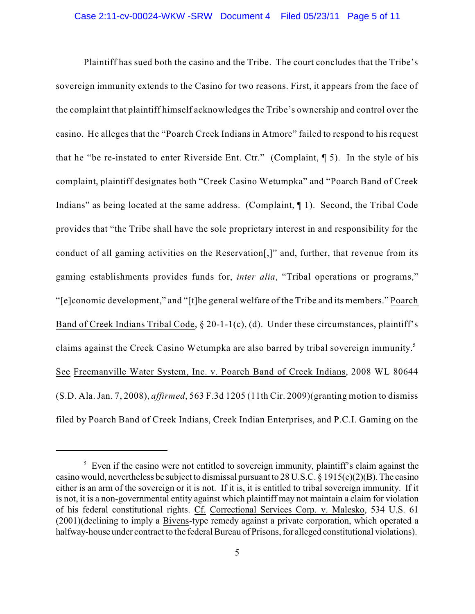### Case 2:11-cv-00024-WKW -SRW Document 4 Filed 05/23/11 Page 5 of 11

Plaintiff has sued both the casino and the Tribe. The court concludes that the Tribe's sovereign immunity extends to the Casino for two reasons. First, it appears from the face of the complaint that plaintiff himself acknowledges the Tribe's ownership and control over the casino. He alleges that the "Poarch Creek Indians in Atmore" failed to respond to his request that he "be re-instated to enter Riverside Ent. Ctr." (Complaint, ¶ 5). In the style of his complaint, plaintiff designates both "Creek Casino Wetumpka" and "Poarch Band of Creek Indians" as being located at the same address. (Complaint, ¶ 1). Second, the Tribal Code provides that "the Tribe shall have the sole proprietary interest in and responsibility for the conduct of all gaming activities on the Reservation[,]" and, further, that revenue from its gaming establishments provides funds for, *inter alia*, "Tribal operations or programs," "[e]conomic development," and "[t]he general welfare of the Tribe and its members." Poarch Band of Creek Indians Tribal Code, § 20-1-1(c), (d). Under these circumstances, plaintiff's claims against the Creek Casino Wetumpka are also barred by tribal sovereign immunity. 5 See Freemanville Water System, Inc. v. Poarch Band of Creek Indians, 2008 WL 80644 (S.D. Ala.Jan. 7, 2008), *affirmed*, 563 F.3d 1205 (11th Cir. 2009)(granting motion to dismiss filed by Poarch Band of Creek Indians, Creek Indian Enterprises, and P.C.I. Gaming on the

 $5$  Even if the casino were not entitled to sovereign immunity, plaintiff's claim against the casino would, nevertheless be subject to dismissal pursuant to 28 U.S.C. § 1915(e)(2)(B). The casino either is an arm of the sovereign or it is not. If it is, it is entitled to tribal sovereign immunity. If it is not, it is a non-governmental entity against which plaintiff may not maintain a claim for violation of his federal constitutional rights. Cf. Correctional Services Corp. v. Malesko, 534 U.S. 61 (2001)(declining to imply a Bivens-type remedy against a private corporation, which operated a halfway-house under contract to the federal Bureau of Prisons, for alleged constitutional violations).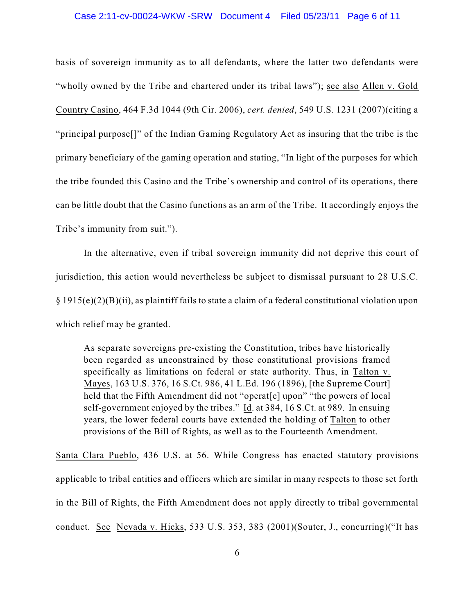## Case 2:11-cv-00024-WKW -SRW Document 4 Filed 05/23/11 Page 6 of 11

basis of sovereign immunity as to all defendants, where the latter two defendants were "wholly owned by the Tribe and chartered under its tribal laws"); see also Allen v. Gold Country Casino, 464 F.3d 1044 (9th Cir. 2006), *cert. denied*, 549 U.S. 1231 (2007)(citing a "principal purpose[]" of the Indian Gaming Regulatory Act as insuring that the tribe is the primary beneficiary of the gaming operation and stating, "In light of the purposes for which the tribe founded this Casino and the Tribe's ownership and control of its operations, there can be little doubt that the Casino functions as an arm of the Tribe. It accordingly enjoys the Tribe's immunity from suit.").

In the alternative, even if tribal sovereign immunity did not deprive this court of jurisdiction, this action would nevertheless be subject to dismissal pursuant to 28 U.S.C. § 1915(e)(2)(B)(ii), as plaintiff fails to state a claim of a federal constitutional violation upon which relief may be granted.

As separate sovereigns pre-existing the Constitution, tribes have historically been regarded as unconstrained by those constitutional provisions framed specifically as limitations on federal or state authority. Thus, in Talton v. Mayes, 163 U.S. 376, 16 S.Ct. 986, 41 L.Ed. 196 (1896), [the Supreme Court] held that the Fifth Amendment did not "operat[e] upon" "the powers of local self-government enjoyed by the tribes." Id. at 384, 16 S.Ct. at 989. In ensuing years, the lower federal courts have extended the holding of Talton to other provisions of the Bill of Rights, as well as to the Fourteenth Amendment.

Santa Clara Pueblo, 436 U.S. at 56. While Congress has enacted statutory provisions applicable to tribal entities and officers which are similar in many respects to those set forth in the Bill of Rights, the Fifth Amendment does not apply directly to tribal governmental conduct. See Nevada v. Hicks, 533 U.S. 353, 383 (2001)(Souter, J., concurring)("It has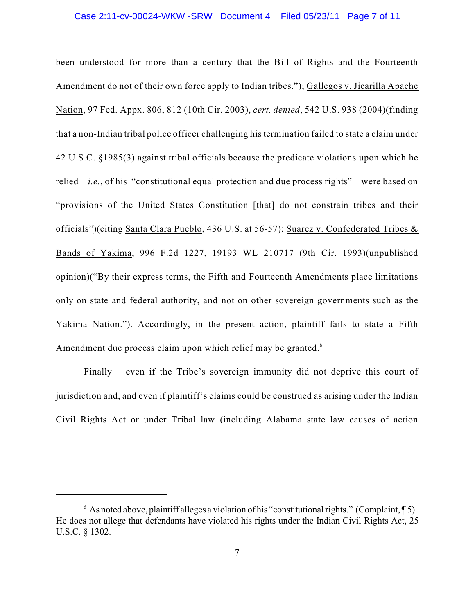#### Case 2:11-cv-00024-WKW -SRW Document 4 Filed 05/23/11 Page 7 of 11

been understood for more than a century that the Bill of Rights and the Fourteenth Amendment do not of their own force apply to Indian tribes."); Gallegos v. Jicarilla Apache Nation, 97 Fed. Appx. 806, 812 (10th Cir. 2003), *cert. denied*, 542 U.S. 938 (2004)(finding that a non-Indian tribal police officer challenging his termination failed to state a claim under 42 U.S.C. §1985(3) against tribal officials because the predicate violations upon which he relied  $-i.e.,$  of his "constitutional equal protection and due process rights" – were based on "provisions of the United States Constitution [that] do not constrain tribes and their officials")(citing Santa Clara Pueblo, 436 U.S. at 56-57); Suarez v. Confederated Tribes & Bands of Yakima, 996 F.2d 1227, 19193 WL 210717 (9th Cir. 1993)(unpublished opinion)("By their express terms, the Fifth and Fourteenth Amendments place limitations only on state and federal authority, and not on other sovereign governments such as the Yakima Nation."). Accordingly, in the present action, plaintiff fails to state a Fifth Amendment due process claim upon which relief may be granted.<sup>6</sup>

Finally – even if the Tribe's sovereign immunity did not deprive this court of jurisdiction and, and even if plaintiff's claims could be construed as arising under the Indian Civil Rights Act or under Tribal law (including Alabama state law causes of action

 $6$  As noted above, plaintiff alleges a violation of his "constitutional rights." (Complaint,  $\P$ 5). He does not allege that defendants have violated his rights under the Indian Civil Rights Act, 25 U.S.C. § 1302.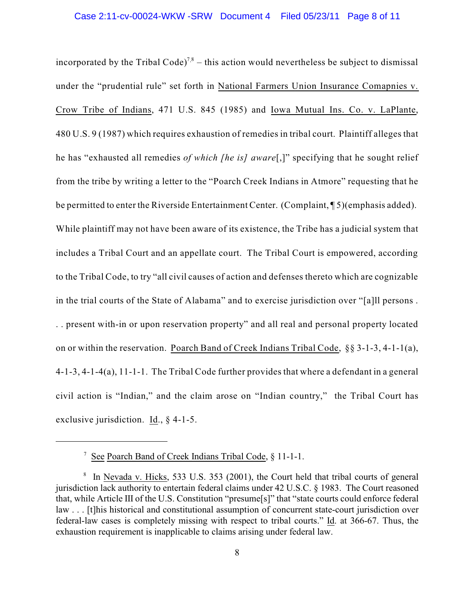incorporated by the Tribal Code)<sup>7,8</sup> – this action would nevertheless be subject to dismissal under the "prudential rule" set forth in National Farmers Union Insurance Comapnies v. Crow Tribe of Indians, 471 U.S. 845 (1985) and Iowa Mutual Ins. Co. v. LaPlante, 480 U.S. 9 (1987) which requires exhaustion of remedies in tribal court. Plaintiff alleges that he has "exhausted all remedies *of which [he is] aware*[,]" specifying that he sought relief from the tribe by writing a letter to the "Poarch Creek Indians in Atmore" requesting that he be permitted to enter the Riverside Entertainment Center. (Complaint, ¶ 5)(emphasis added). While plaintiff may not have been aware of its existence, the Tribe has a judicial system that includes a Tribal Court and an appellate court. The Tribal Court is empowered, according to the Tribal Code, to try "all civil causes of action and defenses thereto which are cognizable in the trial courts of the State of Alabama" and to exercise jurisdiction over "[a]ll persons . . . present with-in or upon reservation property" and all real and personal property located on or within the reservation. Poarch Band of Creek Indians Tribal Code, §§ 3-1-3, 4-1-1(a), 4-1-3, 4-1-4(a), 11-1-1. The Tribal Code further provides that where a defendant in a general civil action is "Indian," and the claim arose on "Indian country," the Tribal Court has exclusive jurisdiction. Id., § 4-1-5.

<sup>&</sup>lt;sup>7</sup> See Poarch Band of Creek Indians Tribal Code, § 11-1-1.

 $\delta$  In Nevada v. Hicks, 533 U.S. 353 (2001), the Court held that tribal courts of general jurisdiction lack authority to entertain federal claims under 42 U.S.C. § 1983. The Court reasoned that, while Article III of the U.S. Constitution "presume[s]" that "state courts could enforce federal law . . . [t]his historical and constitutional assumption of concurrent state-court jurisdiction over federal-law cases is completely missing with respect to tribal courts." Id. at 366-67. Thus, the exhaustion requirement is inapplicable to claims arising under federal law.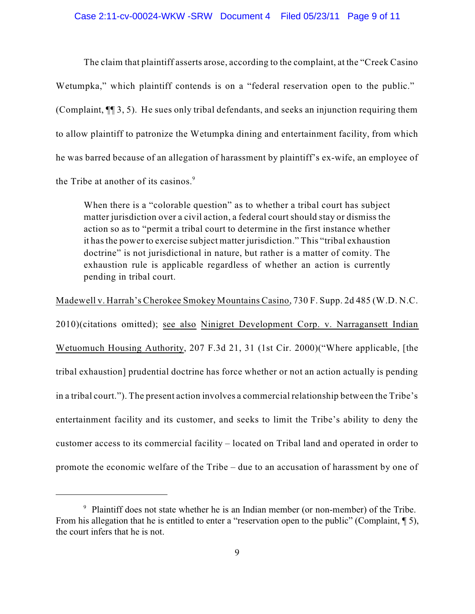### Case 2:11-cv-00024-WKW -SRW Document 4 Filed 05/23/11 Page 9 of 11

The claim that plaintiff asserts arose, according to the complaint, at the "Creek Casino Wetumpka," which plaintiff contends is on a "federal reservation open to the public." (Complaint, ¶¶ 3, 5). He sues only tribal defendants, and seeks an injunction requiring them to allow plaintiff to patronize the Wetumpka dining and entertainment facility, from which he was barred because of an allegation of harassment by plaintiff's ex-wife, an employee of the Tribe at another of its casinos.<sup>9</sup>

When there is a "colorable question" as to whether a tribal court has subject matter jurisdiction over a civil action, a federal court should stay or dismiss the action so as to "permit a tribal court to determine in the first instance whether it hasthe power to exercise subject matter jurisdiction." This "tribal exhaustion doctrine" is not jurisdictional in nature, but rather is a matter of comity. The exhaustion rule is applicable regardless of whether an action is currently pending in tribal court.

Madewell v. Harrah's Cherokee Smokey Mountains Casino, 730 F. Supp. 2d 485 (W.D. N.C.

2010)(citations omitted); see also Ninigret Development Corp. v. Narragansett Indian Wetuomuch Housing Authority, 207 F.3d 21, 31 (1st Cir. 2000)("Where applicable, [the tribal exhaustion] prudential doctrine has force whether or not an action actually is pending in a tribal court."). The present action involves a commercial relationship between the Tribe's entertainment facility and its customer, and seeks to limit the Tribe's ability to deny the customer access to its commercial facility – located on Tribal land and operated in order to promote the economic welfare of the Tribe – due to an accusation of harassment by one of

<sup>&</sup>lt;sup>9</sup> Plaintiff does not state whether he is an Indian member (or non-member) of the Tribe. From his allegation that he is entitled to enter a "reservation open to the public" (Complaint,  $\P$  5), the court infers that he is not.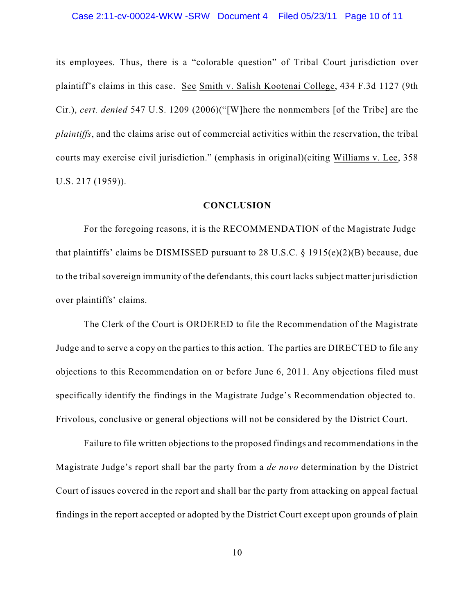# Case 2:11-cv-00024-WKW -SRW Document 4 Filed 05/23/11 Page 10 of 11

its employees. Thus, there is a "colorable question" of Tribal Court jurisdiction over plaintiff's claims in this case. See Smith v. Salish Kootenai College, 434 F.3d 1127 (9th Cir.), *cert. denied* 547 U.S. 1209 (2006)("[W]here the nonmembers [of the Tribe] are the *plaintiffs*, and the claims arise out of commercial activities within the reservation, the tribal courts may exercise civil jurisdiction." (emphasis in original)(citing Williams v. Lee, 358 U.S. 217 (1959)).

#### **CONCLUSION**

For the foregoing reasons, it is the RECOMMENDATION of the Magistrate Judge that plaintiffs' claims be DISMISSED pursuant to 28 U.S.C. § 1915(e)(2)(B) because, due to the tribal sovereign immunity of the defendants, this court lacks subject matter jurisdiction over plaintiffs' claims.

The Clerk of the Court is ORDERED to file the Recommendation of the Magistrate Judge and to serve a copy on the parties to this action. The parties are DIRECTED to file any objections to this Recommendation on or before June 6, 2011. Any objections filed must specifically identify the findings in the Magistrate Judge's Recommendation objected to. Frivolous, conclusive or general objections will not be considered by the District Court.

Failure to file written objections to the proposed findings and recommendations in the Magistrate Judge's report shall bar the party from a *de novo* determination by the District Court of issues covered in the report and shall bar the party from attacking on appeal factual findings in the report accepted or adopted by the District Court except upon grounds of plain